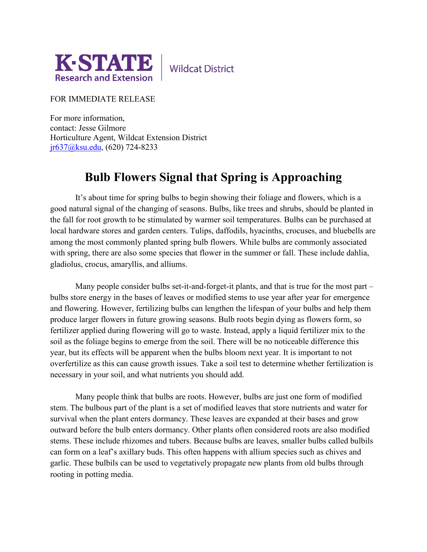

**Wildcat District** 

FOR IMMEDIATE RELEASE

For more information, contact: Jesse Gilmore Horticulture Agent, Wildcat Extension District [jr637@ksu.edu,](mailto:jr637@ksu.edu) (620) 724-8233

## **Bulb Flowers Signal that Spring is Approaching**

It's about time for spring bulbs to begin showing their foliage and flowers, which is a good natural signal of the changing of seasons. Bulbs, like trees and shrubs, should be planted in the fall for root growth to be stimulated by warmer soil temperatures. Bulbs can be purchased at local hardware stores and garden centers. Tulips, daffodils, hyacinths, crocuses, and bluebells are among the most commonly planted spring bulb flowers. While bulbs are commonly associated with spring, there are also some species that flower in the summer or fall. These include dahlia, gladiolus, crocus, amaryllis, and alliums.

Many people consider bulbs set-it-and-forget-it plants, and that is true for the most part – bulbs store energy in the bases of leaves or modified stems to use year after year for emergence and flowering. However, fertilizing bulbs can lengthen the lifespan of your bulbs and help them produce larger flowers in future growing seasons. Bulb roots begin dying as flowers form, so fertilizer applied during flowering will go to waste. Instead, apply a liquid fertilizer mix to the soil as the foliage begins to emerge from the soil. There will be no noticeable difference this year, but its effects will be apparent when the bulbs bloom next year. It is important to not overfertilize as this can cause growth issues. Take a soil test to determine whether fertilization is necessary in your soil, and what nutrients you should add.

Many people think that bulbs are roots. However, bulbs are just one form of modified stem. The bulbous part of the plant is a set of modified leaves that store nutrients and water for survival when the plant enters dormancy. These leaves are expanded at their bases and grow outward before the bulb enters dormancy. Other plants often considered roots are also modified stems. These include rhizomes and tubers. Because bulbs are leaves, smaller bulbs called bulbils can form on a leaf's axillary buds. This often happens with allium species such as chives and garlic. These bulbils can be used to vegetatively propagate new plants from old bulbs through rooting in potting media.